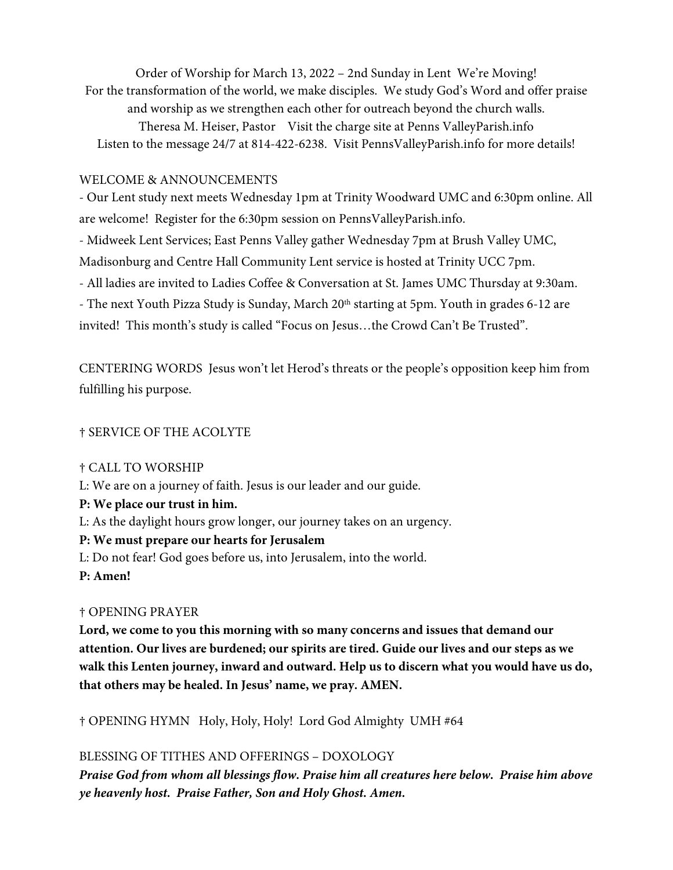Order of Worship for March 13, 2022 – 2nd Sunday in Lent We're Moving! For the transformation of the world, we make disciples. We study God's Word and offer praise and worship as we strengthen each other for outreach beyond the church walls. Theresa M. Heiser, Pastor Visit the charge site at Penns ValleyParish.info Listen to the message 24/7 at 814-422-6238. Visit PennsValleyParish.info for more details!

#### WELCOME & ANNOUNCEMENTS

- Our Lent study next meets Wednesday 1pm at Trinity Woodward UMC and 6:30pm online. All are welcome! Register for the 6:30pm session on PennsValleyParish.info.

- Midweek Lent Services; East Penns Valley gather Wednesday 7pm at Brush Valley UMC,

Madisonburg and Centre Hall Community Lent service is hosted at Trinity UCC 7pm.

- All ladies are invited to Ladies Coffee & Conversation at St. James UMC Thursday at 9:30am.

- The next Youth Pizza Study is Sunday, March 20<sup>th</sup> starting at 5pm. Youth in grades 6-12 are invited! This month's study is called "Focus on Jesus…the Crowd Can't Be Trusted".

CENTERING WORDS Jesus won't let Herod's threats or the people's opposition keep him from fulfilling his purpose.

### † SERVICE OF THE ACOLYTE

# † CALL TO WORSHIP

- L: We are on a journey of faith. Jesus is our leader and our guide.
- **P: We place our trust in him.**
- L: As the daylight hours grow longer, our journey takes on an urgency.

# **P: We must prepare our hearts for Jerusalem**

L: Do not fear! God goes before us, into Jerusalem, into the world.

**P: Amen!** 

# † OPENING PRAYER

**Lord, we come to you this morning with so many concerns and issues that demand our attention. Our lives are burdened; our spirits are tired. Guide our lives and our steps as we walk this Lenten journey, inward and outward. Help us to discern what you would have us do, that others may be healed. In Jesus' name, we pray. AMEN.** 

† OPENING HYMN Holy, Holy, Holy! Lord God Almighty UMH #64

# BLESSING OF TITHES AND OFFERINGS – DOXOLOGY

**Praise God from whom all blessings flow. Praise him all creatures here below. Praise him above ye heavenly host. Praise Father, Son and Holy Ghost. Amen.**